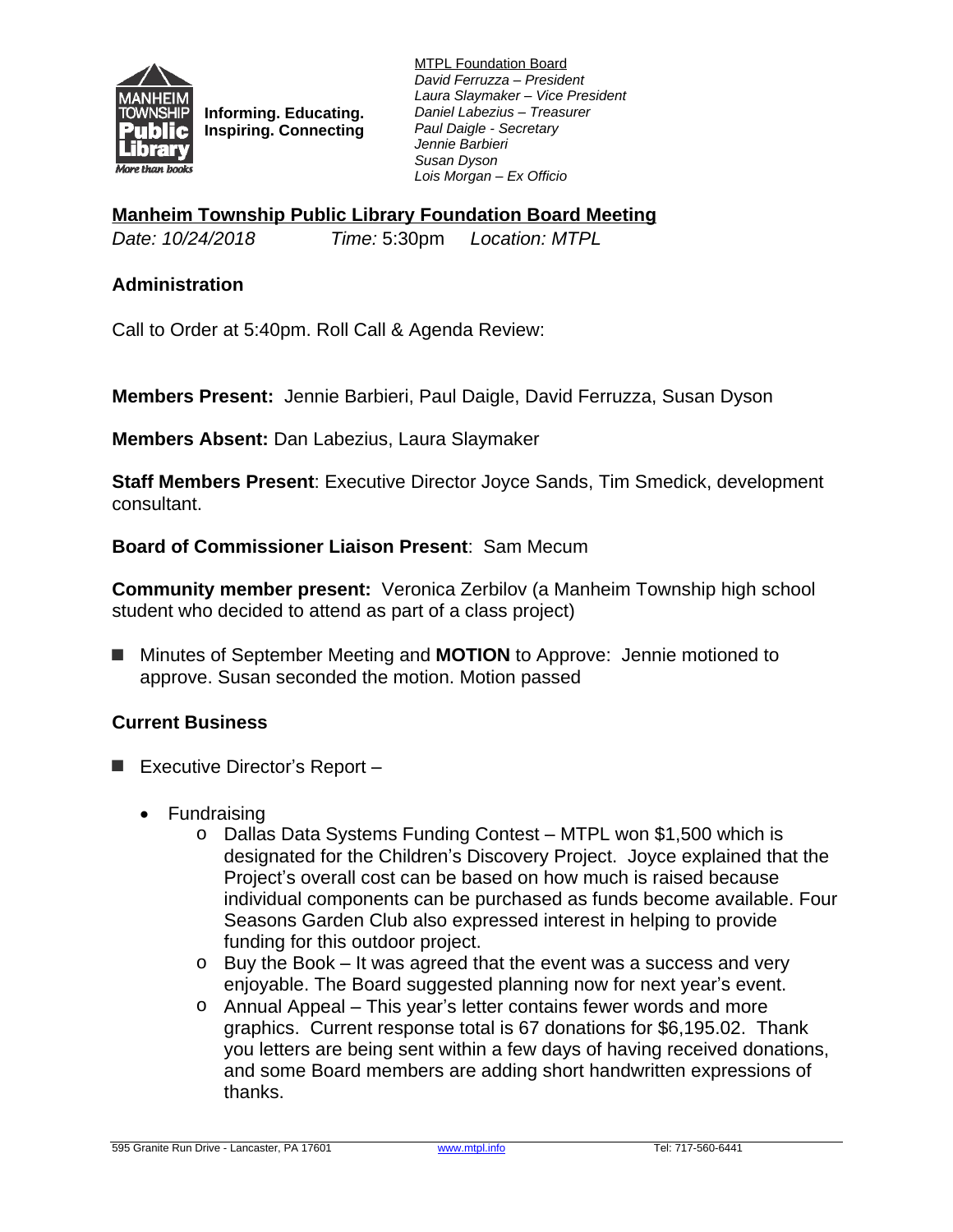

**Informing. Educating. Inspiring. Connecting** MTPL Foundation Board *David Ferruzza – President Laura Slaymaker – Vice President Daniel Labezius – Treasurer Paul Daigle - Secretary Jennie Barbieri Susan Dyson Lois Morgan – Ex Officio*

**Manheim Township Public Library Foundation Board Meeting**

*Date: 10/24/2018 Time:* 5:30pm *Location: MTPL*

### **Administration**

Call to Order at 5:40pm. Roll Call & Agenda Review:

**Members Present:** Jennie Barbieri, Paul Daigle, David Ferruzza, Susan Dyson

**Members Absent:** Dan Labezius, Laura Slaymaker

**Staff Members Present**: Executive Director Joyce Sands, Tim Smedick, development consultant.

#### **Board of Commissioner Liaison Present**: Sam Mecum

**Community member present:** Veronica Zerbilov (a Manheim Township high school student who decided to attend as part of a class project)

■ Minutes of September Meeting and **MOTION** to Approve: Jennie motioned to approve. Susan seconded the motion. Motion passed

#### **Current Business**

- **■** Executive Director's Report
	- Fundraising
		- o Dallas Data Systems Funding Contest MTPL won \$1,500 which is designated for the Children's Discovery Project. Joyce explained that the Project's overall cost can be based on how much is raised because individual components can be purchased as funds become available. Four Seasons Garden Club also expressed interest in helping to provide funding for this outdoor project.
		- o Buy the Book It was agreed that the event was a success and very enjoyable. The Board suggested planning now for next year's event.
		- o Annual Appeal This year's letter contains fewer words and more graphics. Current response total is 67 donations for \$6,195.02. Thank you letters are being sent within a few days of having received donations, and some Board members are adding short handwritten expressions of thanks.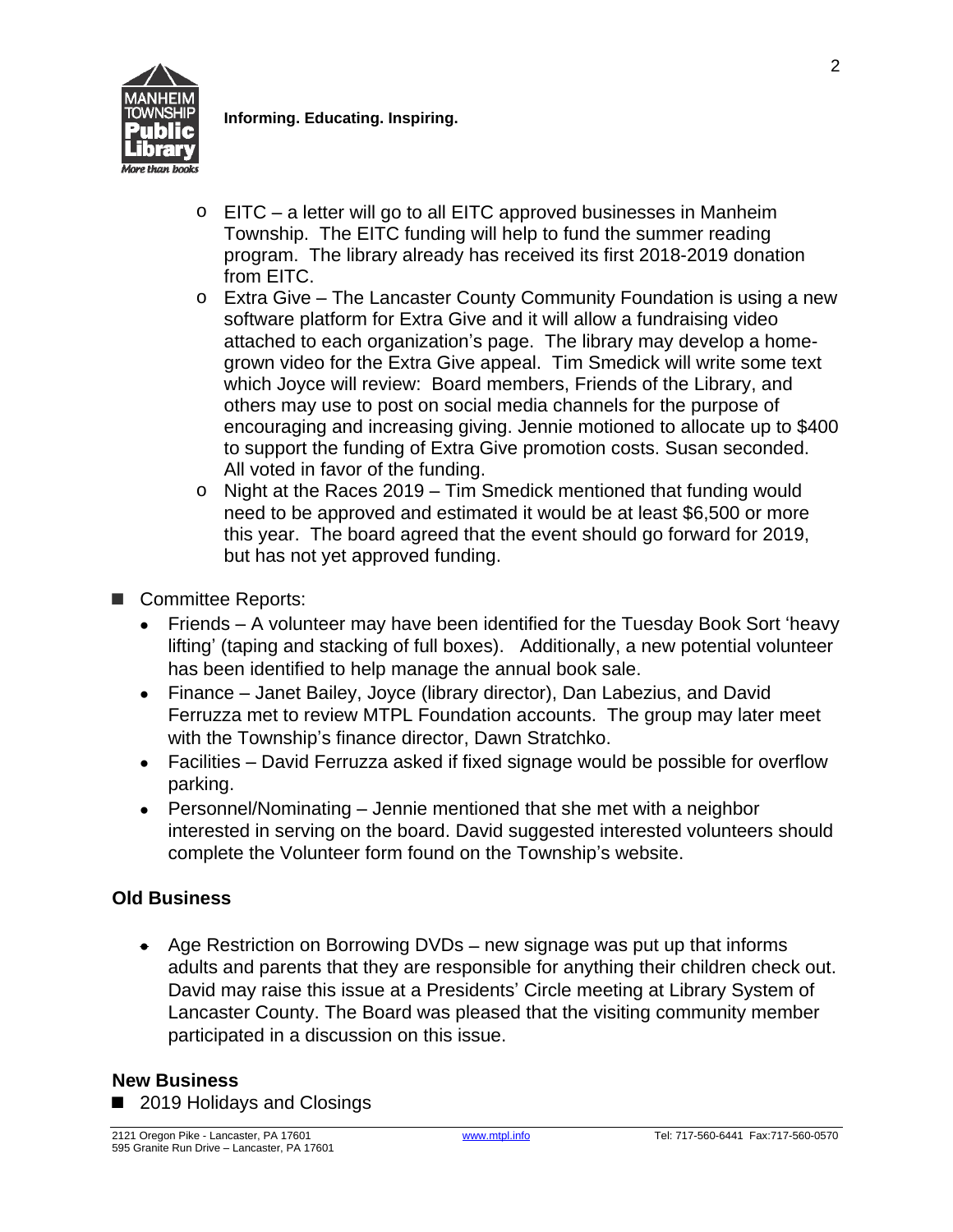

**Informing. Educating. Inspiring.**

- o EITC a letter will go to all EITC approved businesses in Manheim Township. The EITC funding will help to fund the summer reading program. The library already has received its first 2018-2019 donation from EITC.
- o Extra Give The Lancaster County Community Foundation is using a new software platform for Extra Give and it will allow a fundraising video attached to each organization's page. The library may develop a homegrown video for the Extra Give appeal. Tim Smedick will write some text which Joyce will review: Board members, Friends of the Library, and others may use to post on social media channels for the purpose of encouraging and increasing giving. Jennie motioned to allocate up to \$400 to support the funding of Extra Give promotion costs. Susan seconded. All voted in favor of the funding.
- o Night at the Races 2019 Tim Smedick mentioned that funding would need to be approved and estimated it would be at least \$6,500 or more this year. The board agreed that the event should go forward for 2019, but has not yet approved funding.
- Committee Reports:
	- Friends A volunteer may have been identified for the Tuesday Book Sort 'heavy lifting' (taping and stacking of full boxes). Additionally, a new potential volunteer has been identified to help manage the annual book sale.
	- Finance Janet Bailey, Joyce (library director), Dan Labezius, and David Ferruzza met to review MTPL Foundation accounts. The group may later meet with the Township's finance director, Dawn Stratchko.
	- Facilities David Ferruzza asked if fixed signage would be possible for overflow parking.
	- Personnel/Nominating Jennie mentioned that she met with a neighbor interested in serving on the board. David suggested interested volunteers should complete the Volunteer form found on the Township's website.

# **Old Business**

 Age Restriction on Borrowing DVDs – new signage was put up that informs adults and parents that they are responsible for anything their children check out. David may raise this issue at a Presidents' Circle meeting at Library System of Lancaster County. The Board was pleased that the visiting community member participated in a discussion on this issue.

## **New Business**

■ 2019 Holidays and Closings